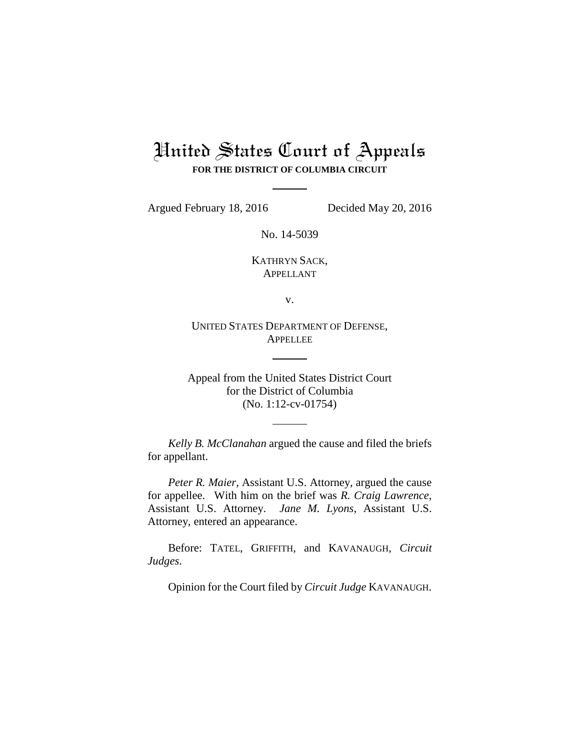## United States Court of Appeals **FOR THE DISTRICT OF COLUMBIA CIRCUIT**

Argued February 18, 2016 Decided May 20, 2016

No. 14-5039

KATHRYN SACK, APPELLANT

v.

UNITED STATES DEPARTMENT OF DEFENSE, **APPELLEE** 

Appeal from the United States District Court for the District of Columbia (No. 1:12-cv-01754)

*Kelly B. McClanahan* argued the cause and filed the briefs for appellant.

*Peter R. Maier*, Assistant U.S. Attorney, argued the cause for appellee. With him on the brief was *R. Craig Lawrence*, Assistant U.S. Attorney. *Jane M. Lyons*, Assistant U.S. Attorney, entered an appearance.

Before: TATEL, GRIFFITH, and KAVANAUGH, *Circuit Judges*.

Opinion for the Court filed by *Circuit Judge* KAVANAUGH.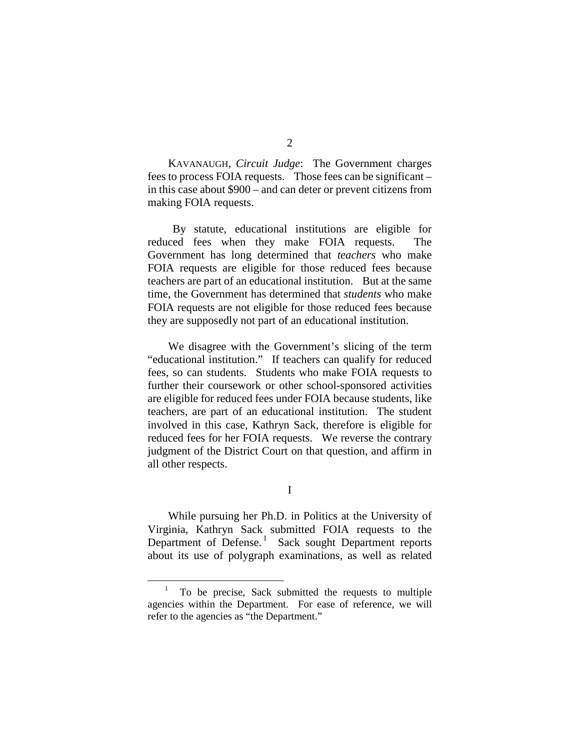KAVANAUGH, *Circuit Judge*: The Government charges fees to process FOIA requests. Those fees can be significant – in this case about \$900 – and can deter or prevent citizens from making FOIA requests.

By statute, educational institutions are eligible for reduced fees when they make FOIA requests. The Government has long determined that *teachers* who make FOIA requests are eligible for those reduced fees because teachers are part of an educational institution. But at the same time, the Government has determined that *students* who make FOIA requests are not eligible for those reduced fees because they are supposedly not part of an educational institution.

We disagree with the Government's slicing of the term "educational institution." If teachers can qualify for reduced fees, so can students. Students who make FOIA requests to further their coursework or other school-sponsored activities are eligible for reduced fees under FOIA because students, like teachers, are part of an educational institution. The student involved in this case, Kathryn Sack, therefore is eligible for reduced fees for her FOIA requests. We reverse the contrary judgment of the District Court on that question, and affirm in all other respects.

I

While pursuing her Ph.D. in Politics at the University of Virginia, Kathryn Sack submitted FOIA requests to the Department of Defense.<sup>[1](#page-1-0)</sup> Sack sought Department reports about its use of polygraph examinations, as well as related

<span id="page-1-0"></span> <sup>1</sup> To be precise, Sack submitted the requests to multiple agencies within the Department. For ease of reference, we will refer to the agencies as "the Department."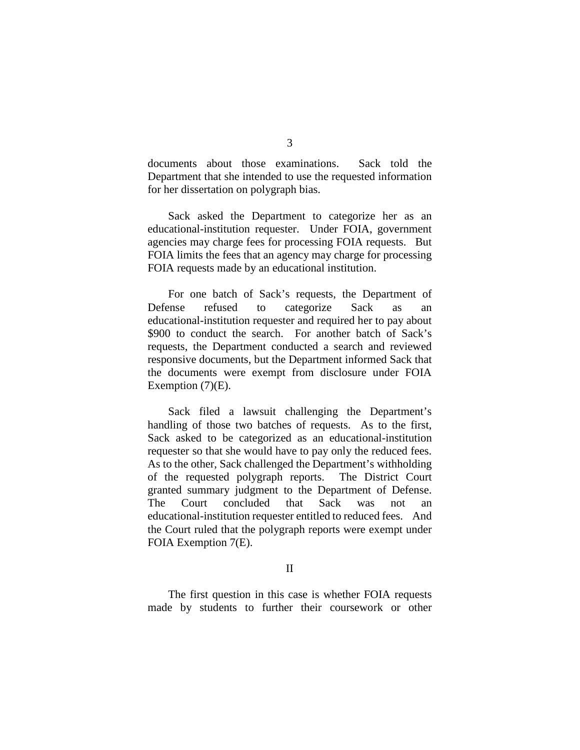documents about those examinations. Sack told the Department that she intended to use the requested information for her dissertation on polygraph bias.

Sack asked the Department to categorize her as an educational-institution requester. Under FOIA, government agencies may charge fees for processing FOIA requests. But FOIA limits the fees that an agency may charge for processing FOIA requests made by an educational institution.

For one batch of Sack's requests, the Department of Defense refused to categorize Sack as an educational-institution requester and required her to pay about \$900 to conduct the search. For another batch of Sack's requests, the Department conducted a search and reviewed responsive documents, but the Department informed Sack that the documents were exempt from disclosure under FOIA Exemption  $(7)(E)$ .

Sack filed a lawsuit challenging the Department's handling of those two batches of requests. As to the first, Sack asked to be categorized as an educational-institution requester so that she would have to pay only the reduced fees. As to the other, Sack challenged the Department's withholding of the requested polygraph reports. The District Court granted summary judgment to the Department of Defense. The Court concluded that Sack was not an educational-institution requester entitled to reduced fees. And the Court ruled that the polygraph reports were exempt under FOIA Exemption 7(E).

II

The first question in this case is whether FOIA requests made by students to further their coursework or other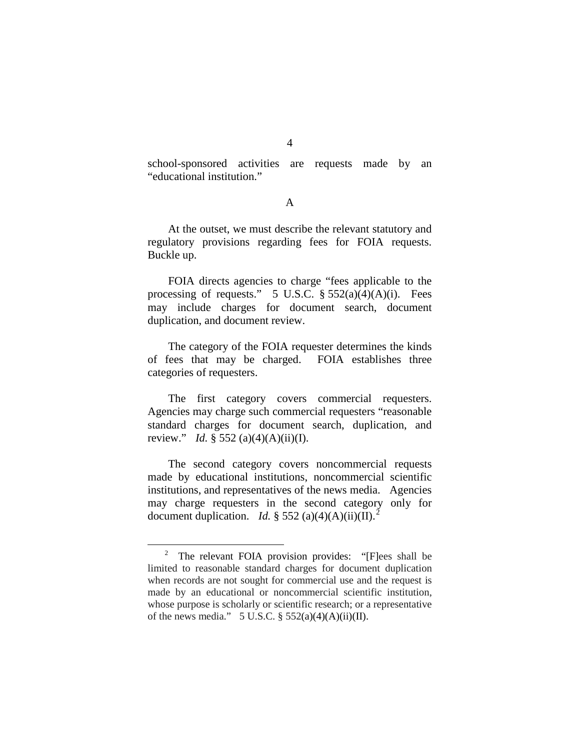school-sponsored activities are requests made by an "educational institution."

A

At the outset, we must describe the relevant statutory and regulatory provisions regarding fees for FOIA requests. Buckle up.

FOIA directs agencies to charge "fees applicable to the processing of requests." 5 U.S.C. § 552(a)(4)(A)(i). Fees may include charges for document search, document duplication, and document review.

The category of the FOIA requester determines the kinds of fees that may be charged. FOIA establishes three categories of requesters.

The first category covers commercial requesters. Agencies may charge such commercial requesters "reasonable standard charges for document search, duplication, and review." *Id.* § 552 (a)(4)(A)(ii)(I).

The second category covers noncommercial requests made by educational institutions, noncommercial scientific institutions, and representatives of the news media. Agencies may charge requesters in the second category only for document duplication. *Id.* § 55[2](#page-3-0) (a)(4)(A)(ii)(II).<sup>2</sup>

<span id="page-3-0"></span><sup>&</sup>lt;sup>2</sup> The relevant FOIA provision provides: "[F]ees shall be limited to reasonable standard charges for document duplication when records are not sought for commercial use and the request is made by an educational or noncommercial scientific institution, whose purpose is scholarly or scientific research; or a representative of the news media." 5 U.S.C.  $\S$  552(a)(4)(A)(ii)(II).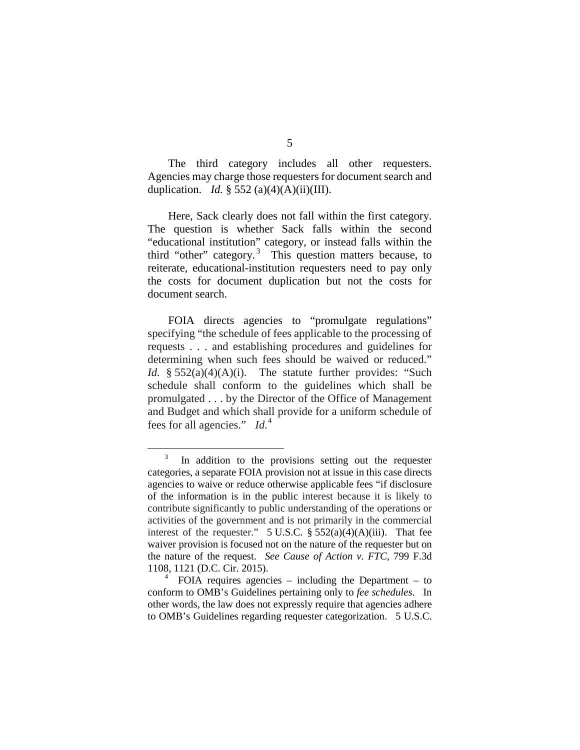The third category includes all other requesters. Agencies may charge those requesters for document search and duplication. *Id.* § 552 (a)(4)(A)(ii)(III).

Here, Sack clearly does not fall within the first category. The question is whether Sack falls within the second "educational institution" category, or instead falls within the third "other" category. $3$  This question matters because, to reiterate, educational-institution requesters need to pay only the costs for document duplication but not the costs for document search.

FOIA directs agencies to "promulgate regulations" specifying "the schedule of fees applicable to the processing of requests . . . and establishing procedures and guidelines for determining when such fees should be waived or reduced." *Id.* § 552(a)(4)(A)(i). The statute further provides: "Such schedule shall conform to the guidelines which shall be promulgated . . . by the Director of the Office of Management and Budget and which shall provide for a uniform schedule of fees for all agencies." *Id.*[4](#page-4-1)

<span id="page-4-0"></span><sup>&</sup>lt;sup>3</sup> In addition to the provisions setting out the requester categories, a separate FOIA provision not at issue in this case directs agencies to waive or reduce otherwise applicable fees "if disclosure of the information is in the public interest because it is likely to contribute significantly to public understanding of the operations or activities of the government and is not primarily in the commercial interest of the requester."  $5 \text{ U.S.C. }$  §  $552(a)(4)(A)(iii)$ . That fee waiver provision is focused not on the nature of the requester but on the nature of the request. *See Cause of Action v. FTC*, 799 F.3d 1108, 1121 (D.C. Cir. 2015).

<span id="page-4-1"></span> $FOLA$  requires agencies – including the Department – to conform to OMB's Guidelines pertaining only to *fee schedules*. In other words, the law does not expressly require that agencies adhere to OMB's Guidelines regarding requester categorization. 5 U.S.C.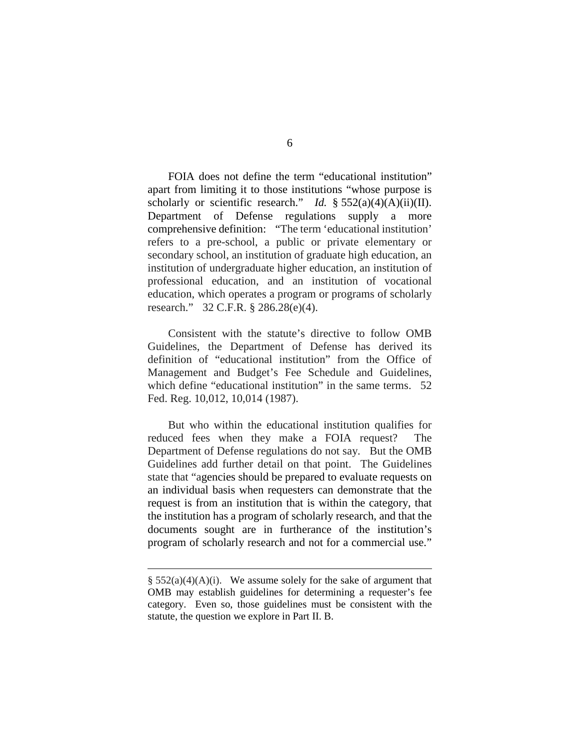FOIA does not define the term "educational institution" apart from limiting it to those institutions "whose purpose is scholarly or scientific research." *Id.* § 552(a)(4)(A)(ii)(II). Department of Defense regulations supply a more comprehensive definition: "The term 'educational institution' refers to a pre-school, a public or private elementary or secondary school, an institution of graduate high education, an institution of undergraduate higher education, an institution of professional education, and an institution of vocational education, which operates a program or programs of scholarly research." 32 C.F.R. § 286.28(e)(4).

Consistent with the statute's directive to follow OMB Guidelines, the Department of Defense has derived its definition of "educational institution" from the Office of Management and Budget's Fee Schedule and Guidelines, which define "educational institution" in the same terms. 52 Fed. Reg. 10,012, 10,014 (1987).

But who within the educational institution qualifies for reduced fees when they make a FOIA request? The Department of Defense regulations do not say. But the OMB Guidelines add further detail on that point. The Guidelines state that "agencies should be prepared to evaluate requests on an individual basis when requesters can demonstrate that the request is from an institution that is within the category, that the institution has a program of scholarly research, and that the documents sought are in furtherance of the institution's program of scholarly research and not for a commercial use."

 $\overline{a}$ 

 $§ 552(a)(4)(A)(i)$ . We assume solely for the sake of argument that OMB may establish guidelines for determining a requester's fee category. Even so, those guidelines must be consistent with the statute, the question we explore in Part II. B.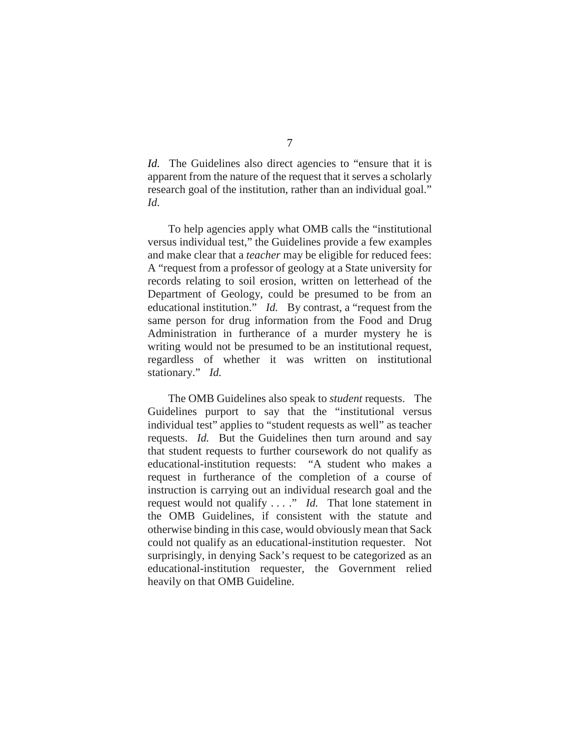*Id.* The Guidelines also direct agencies to "ensure that it is apparent from the nature of the request that it serves a scholarly research goal of the institution, rather than an individual goal." *Id.* 

To help agencies apply what OMB calls the "institutional versus individual test," the Guidelines provide a few examples and make clear that a *teacher* may be eligible for reduced fees: A "request from a professor of geology at a State university for records relating to soil erosion, written on letterhead of the Department of Geology, could be presumed to be from an educational institution." *Id.* By contrast, a "request from the same person for drug information from the Food and Drug Administration in furtherance of a murder mystery he is writing would not be presumed to be an institutional request, regardless of whether it was written on institutional stationary." *Id.*

The OMB Guidelines also speak to *student* requests. The Guidelines purport to say that the "institutional versus individual test" applies to "student requests as well" as teacher requests. *Id.* But the Guidelines then turn around and say that student requests to further coursework do not qualify as educational-institution requests: "A student who makes a request in furtherance of the completion of a course of instruction is carrying out an individual research goal and the request would not qualify . . . ." *Id.* That lone statement in the OMB Guidelines, if consistent with the statute and otherwise binding in this case, would obviously mean that Sack could not qualify as an educational-institution requester. Not surprisingly, in denying Sack's request to be categorized as an educational-institution requester, the Government relied heavily on that OMB Guideline.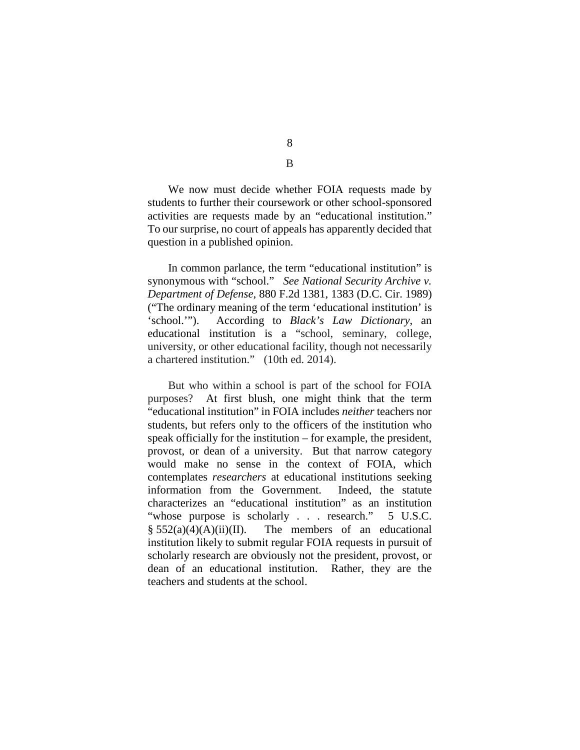We now must decide whether FOIA requests made by students to further their coursework or other school-sponsored activities are requests made by an "educational institution." To our surprise, no court of appeals has apparently decided that question in a published opinion.

In common parlance, the term "educational institution" is synonymous with "school." *See National Security Archive v. Department of Defense*, 880 F.2d 1381, 1383 (D.C. Cir. 1989) ("The ordinary meaning of the term 'educational institution' is 'school.'"). According to *Black's Law Dictionary*, an educational institution is a "school, seminary, college, university, or other educational facility, though not necessarily a chartered institution." (10th ed. 2014).

But who within a school is part of the school for FOIA purposes? At first blush, one might think that the term "educational institution" in FOIA includes *neither* teachers nor students, but refers only to the officers of the institution who speak officially for the institution – for example, the president, provost, or dean of a university. But that narrow category would make no sense in the context of FOIA, which contemplates *researchers* at educational institutions seeking information from the Government. Indeed, the statute characterizes an "educational institution" as an institution "whose purpose is scholarly . . . research." 5 U.S.C.  $§ 552(a)(4)(A)(ii)(II)$ . The members of an educational institution likely to submit regular FOIA requests in pursuit of scholarly research are obviously not the president, provost, or dean of an educational institution. Rather, they are the teachers and students at the school.

8 B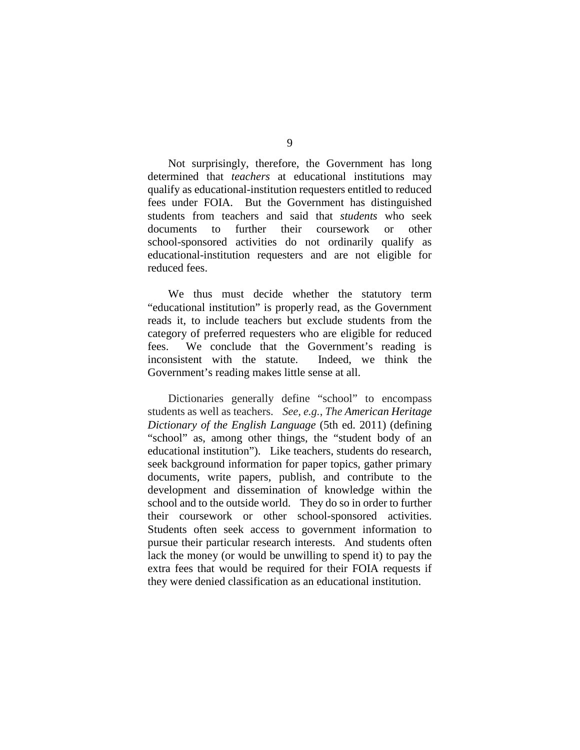Not surprisingly, therefore, the Government has long determined that *teachers* at educational institutions may qualify as educational-institution requesters entitled to reduced fees under FOIA. But the Government has distinguished students from teachers and said that *students* who seek documents to further their coursework or other school-sponsored activities do not ordinarily qualify as educational-institution requesters and are not eligible for reduced fees.

We thus must decide whether the statutory term "educational institution" is properly read, as the Government reads it, to include teachers but exclude students from the category of preferred requesters who are eligible for reduced fees. We conclude that the Government's reading is inconsistent with the statute. Indeed, we think the Government's reading makes little sense at all.

Dictionaries generally define "school" to encompass students as well as teachers. *See, e.g.*, *The American Heritage Dictionary of the English Language* (5th ed. 2011) (defining "school" as, among other things, the "student body of an educational institution"). Like teachers, students do research, seek background information for paper topics, gather primary documents, write papers, publish, and contribute to the development and dissemination of knowledge within the school and to the outside world. They do so in order to further their coursework or other school-sponsored activities. Students often seek access to government information to pursue their particular research interests. And students often lack the money (or would be unwilling to spend it) to pay the extra fees that would be required for their FOIA requests if they were denied classification as an educational institution.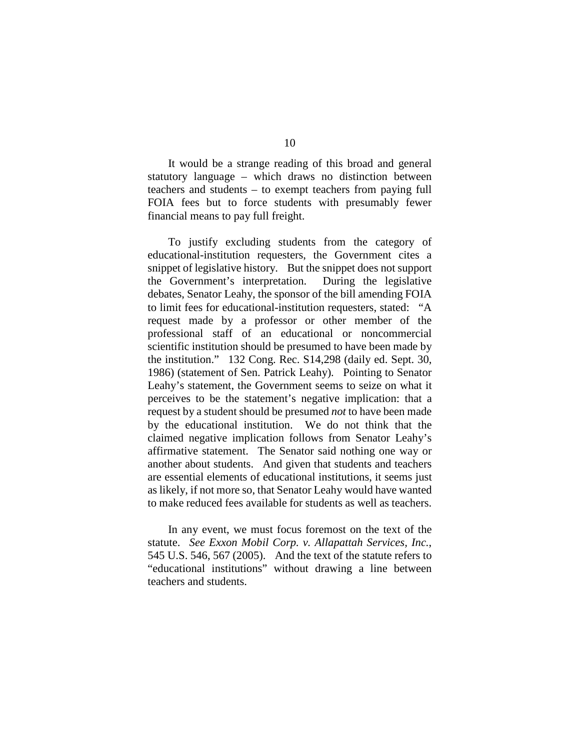It would be a strange reading of this broad and general statutory language – which draws no distinction between teachers and students – to exempt teachers from paying full FOIA fees but to force students with presumably fewer financial means to pay full freight.

To justify excluding students from the category of educational-institution requesters, the Government cites a snippet of legislative history. But the snippet does not support the Government's interpretation. During the legislative debates, Senator Leahy, the sponsor of the bill amending FOIA to limit fees for educational-institution requesters, stated: "A request made by a professor or other member of the professional staff of an educational or noncommercial scientific institution should be presumed to have been made by the institution." 132 Cong. Rec. S14,298 (daily ed. Sept. 30, 1986) (statement of Sen. Patrick Leahy)*.* Pointing to Senator Leahy's statement, the Government seems to seize on what it perceives to be the statement's negative implication: that a request by a student should be presumed *not* to have been made by the educational institution. We do not think that the claimed negative implication follows from Senator Leahy's affirmative statement. The Senator said nothing one way or another about students. And given that students and teachers are essential elements of educational institutions, it seems just as likely, if not more so, that Senator Leahy would have wanted to make reduced fees available for students as well as teachers.

In any event, we must focus foremost on the text of the statute. *See Exxon Mobil Corp. v. Allapattah Services, Inc.*, 545 U.S. 546, 567 (2005). And the text of the statute refers to "educational institutions" without drawing a line between teachers and students.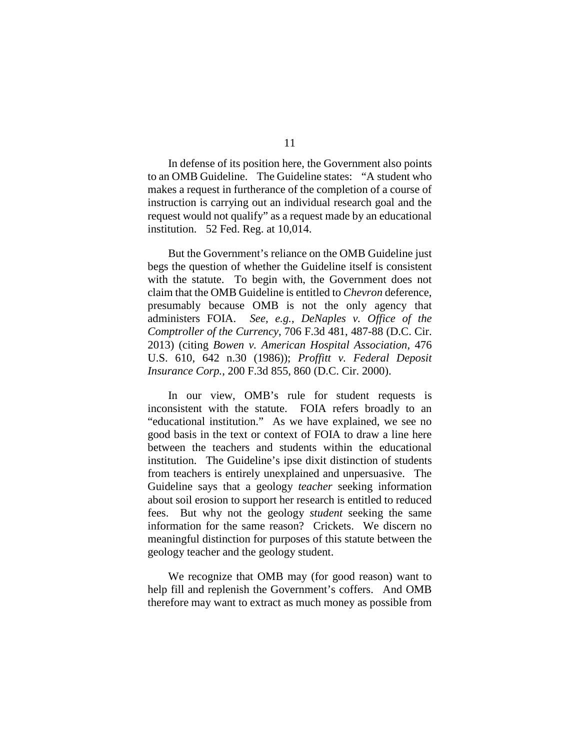In defense of its position here, the Government also points to an OMB Guideline. The Guideline states: "A student who makes a request in furtherance of the completion of a course of instruction is carrying out an individual research goal and the request would not qualify" as a request made by an educational institution. 52 Fed. Reg. at 10,014.

But the Government's reliance on the OMB Guideline just begs the question of whether the Guideline itself is consistent with the statute. To begin with, the Government does not claim that the OMB Guideline is entitled to *Chevron* deference, presumably because OMB is not the only agency that administers FOIA. *See, e.g.*, *DeNaples v. Office of the Comptroller of the Currency*, 706 F.3d 481, 487-88 (D.C. Cir. 2013) (citing *Bowen v. American Hospital Association*, 476 U.S. 610, 642 n.30 (1986)); *Proffitt v. Federal Deposit Insurance Corp.*, 200 F.3d 855, 860 (D.C. Cir. 2000).

In our view, OMB's rule for student requests is inconsistent with the statute. FOIA refers broadly to an "educational institution." As we have explained, we see no good basis in the text or context of FOIA to draw a line here between the teachers and students within the educational institution. The Guideline's ipse dixit distinction of students from teachers is entirely unexplained and unpersuasive. The Guideline says that a geology *teacher* seeking information about soil erosion to support her research is entitled to reduced fees. But why not the geology *student* seeking the same information for the same reason? Crickets. We discern no meaningful distinction for purposes of this statute between the geology teacher and the geology student.

We recognize that OMB may (for good reason) want to help fill and replenish the Government's coffers. And OMB therefore may want to extract as much money as possible from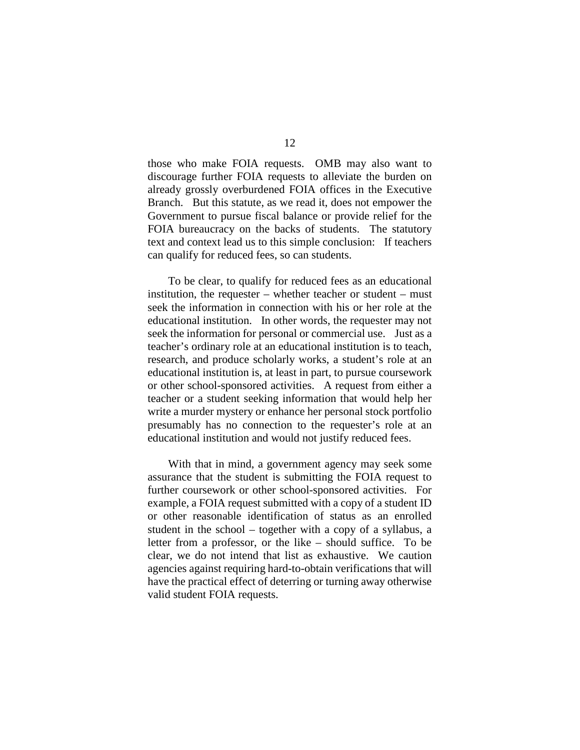those who make FOIA requests. OMB may also want to discourage further FOIA requests to alleviate the burden on already grossly overburdened FOIA offices in the Executive Branch. But this statute, as we read it, does not empower the Government to pursue fiscal balance or provide relief for the FOIA bureaucracy on the backs of students. The statutory text and context lead us to this simple conclusion: If teachers can qualify for reduced fees, so can students.

To be clear, to qualify for reduced fees as an educational institution, the requester – whether teacher or student – must seek the information in connection with his or her role at the educational institution. In other words, the requester may not seek the information for personal or commercial use. Just as a teacher's ordinary role at an educational institution is to teach, research, and produce scholarly works, a student's role at an educational institution is, at least in part, to pursue coursework or other school-sponsored activities. A request from either a teacher or a student seeking information that would help her write a murder mystery or enhance her personal stock portfolio presumably has no connection to the requester's role at an educational institution and would not justify reduced fees.

With that in mind, a government agency may seek some assurance that the student is submitting the FOIA request to further coursework or other school-sponsored activities. For example, a FOIA request submitted with a copy of a student ID or other reasonable identification of status as an enrolled student in the school – together with a copy of a syllabus, a letter from a professor, or the like – should suffice. To be clear, we do not intend that list as exhaustive. We caution agencies against requiring hard-to-obtain verifications that will have the practical effect of deterring or turning away otherwise valid student FOIA requests.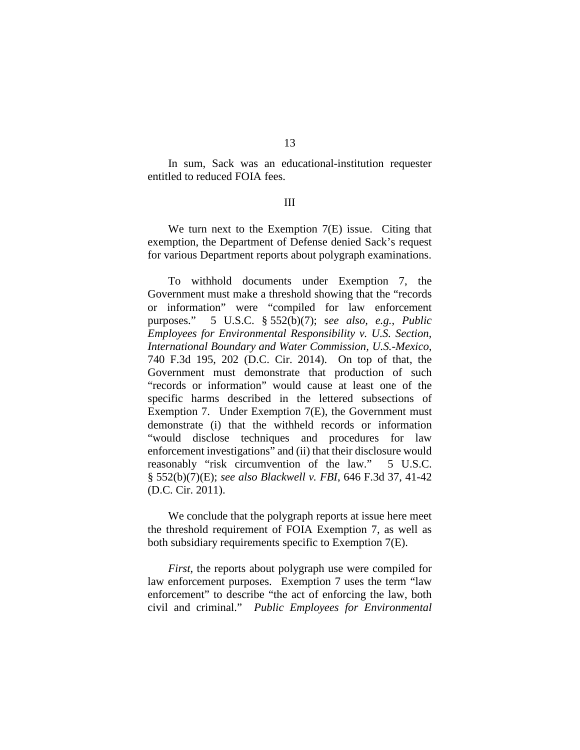In sum, Sack was an educational-institution requester entitled to reduced FOIA fees.

## III

We turn next to the Exemption 7(E) issue. Citing that exemption, the Department of Defense denied Sack's request for various Department reports about polygraph examinations.

To withhold documents under Exemption 7, the Government must make a threshold showing that the "records or information" were "compiled for law enforcement purposes." 5 U.S.C. § 552(b)(7); s*ee also, e.g.*, *Public Employees for Environmental Responsibility v. U.S. Section, International Boundary and Water Commission, U.S.-Mexico*, 740 F.3d 195, 202 (D.C. Cir. 2014). On top of that, the Government must demonstrate that production of such "records or information" would cause at least one of the specific harms described in the lettered subsections of Exemption 7. Under Exemption 7(E), the Government must demonstrate (i) that the withheld records or information "would disclose techniques and procedures for law enforcement investigations" and (ii) that their disclosure would reasonably "risk circumvention of the law." 5 U.S.C. § 552(b)(7)(E); *see also Blackwell v. FBI*, 646 F.3d 37, 41-42 (D.C. Cir. 2011).

We conclude that the polygraph reports at issue here meet the threshold requirement of FOIA Exemption 7, as well as both subsidiary requirements specific to Exemption 7(E).

*First*, the reports about polygraph use were compiled for law enforcement purposes. Exemption 7 uses the term "law enforcement" to describe "the act of enforcing the law, both civil and criminal." *Public Employees for Environmental*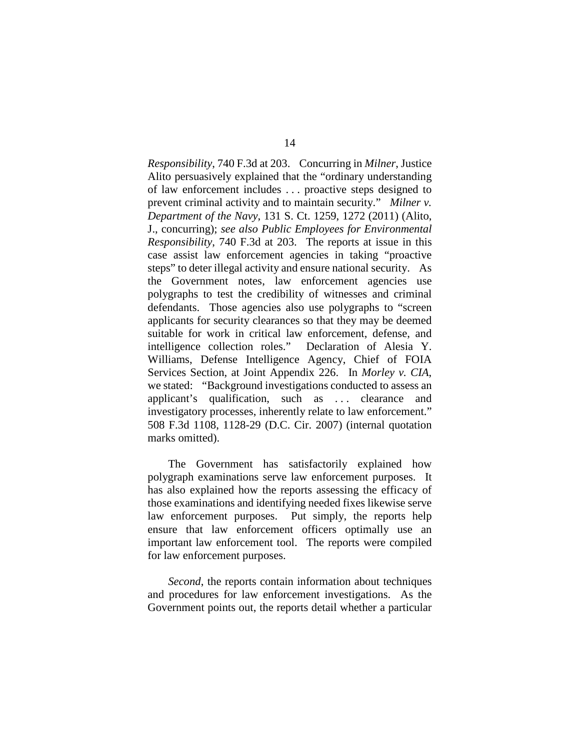*Responsibility*, 740 F.3d at 203. Concurring in *Milner*, Justice Alito persuasively explained that the "ordinary understanding of law enforcement includes . . . proactive steps designed to prevent criminal activity and to maintain security." *Milner v. Department of the Navy*, 131 S. Ct. 1259, 1272 (2011) (Alito, J., concurring); *see also Public Employees for Environmental Responsibility*, 740 F.3d at 203. The reports at issue in this case assist law enforcement agencies in taking "proactive steps" to deter illegal activity and ensure national security. As the Government notes, law enforcement agencies use polygraphs to test the credibility of witnesses and criminal defendants. Those agencies also use polygraphs to "screen applicants for security clearances so that they may be deemed suitable for work in critical law enforcement, defense, and intelligence collection roles." Declaration of Alesia Y. Williams, Defense Intelligence Agency, Chief of FOIA Services Section, at Joint Appendix 226. In *Morley v. CIA*, we stated: "Background investigations conducted to assess an applicant's qualification, such as . . . clearance and investigatory processes, inherently relate to law enforcement." 508 F.3d 1108, 1128-29 (D.C. Cir. 2007) (internal quotation marks omitted).

The Government has satisfactorily explained how polygraph examinations serve law enforcement purposes. It has also explained how the reports assessing the efficacy of those examinations and identifying needed fixes likewise serve law enforcement purposes. Put simply, the reports help ensure that law enforcement officers optimally use an important law enforcement tool. The reports were compiled for law enforcement purposes.

*Second*, the reports contain information about techniques and procedures for law enforcement investigations. As the Government points out, the reports detail whether a particular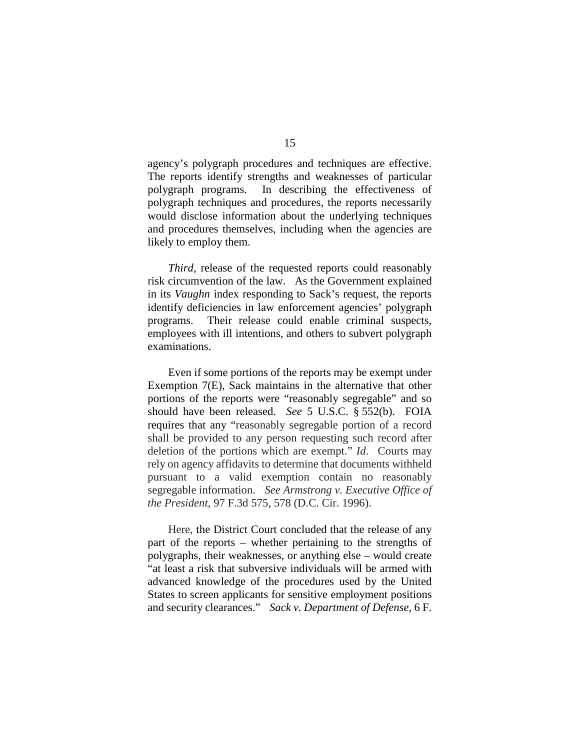agency's polygraph procedures and techniques are effective. The reports identify strengths and weaknesses of particular polygraph programs. In describing the effectiveness of polygraph techniques and procedures, the reports necessarily would disclose information about the underlying techniques and procedures themselves, including when the agencies are likely to employ them.

*Third*, release of the requested reports could reasonably risk circumvention of the law. As the Government explained in its *Vaughn* index responding to Sack's request, the reports identify deficiencies in law enforcement agencies' polygraph programs. Their release could enable criminal suspects, employees with ill intentions, and others to subvert polygraph examinations.

Even if some portions of the reports may be exempt under Exemption 7(E), Sack maintains in the alternative that other portions of the reports were "reasonably segregable" and so should have been released. *See* 5 U.S.C. § 552(b). FOIA requires that any "reasonably segregable portion of a record shall be provided to any person requesting such record after deletion of the portions which are exempt." *Id*. Courts may rely on agency affidavits to determine that documents withheld pursuant to a valid exemption contain no reasonably segregable information. *See Armstrong v. Executive Office of the President*, 97 F.3d 575, 578 (D.C. Cir. 1996).

Here, the District Court concluded that the release of any part of the reports – whether pertaining to the strengths of polygraphs, their weaknesses, or anything else – would create "at least a risk that subversive individuals will be armed with advanced knowledge of the procedures used by the United States to screen applicants for sensitive employment positions and security clearances." *Sack v. Department of Defense*, 6 F.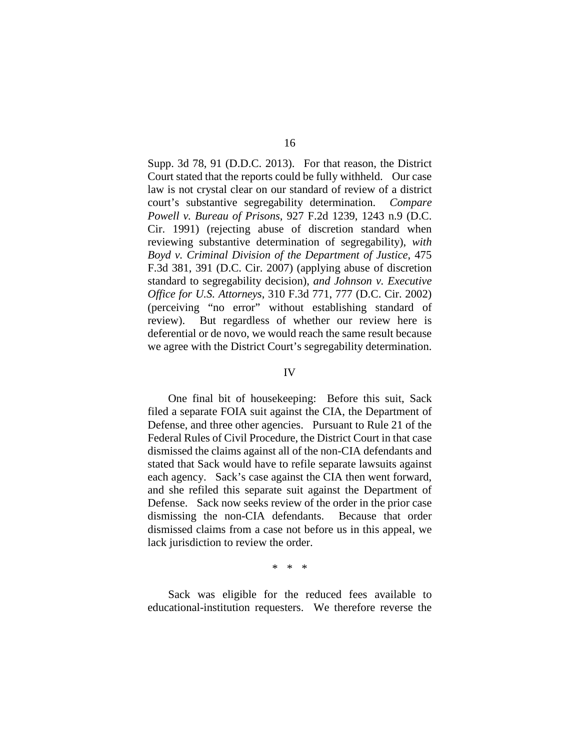Supp. 3d 78, 91 (D.D.C. 2013). For that reason, the District Court stated that the reports could be fully withheld. Our case law is not crystal clear on our standard of review of a district court's substantive segregability determination. *Compare Powell v. Bureau of Prisons*, 927 F.2d 1239, 1243 n.9 (D.C. Cir. 1991) (rejecting abuse of discretion standard when reviewing substantive determination of segregability), *with Boyd v. Criminal Division of the Department of Justice*, 475 F.3d 381, 391 (D.C. Cir. 2007) (applying abuse of discretion standard to segregability decision), *and Johnson v. Executive Office for U.S. Attorneys*, 310 F.3d 771, 777 (D.C. Cir. 2002) (perceiving "no error" without establishing standard of review). But regardless of whether our review here is deferential or de novo, we would reach the same result because we agree with the District Court's segregability determination.

## IV

One final bit of housekeeping: Before this suit, Sack filed a separate FOIA suit against the CIA, the Department of Defense, and three other agencies. Pursuant to Rule 21 of the Federal Rules of Civil Procedure, the District Court in that case dismissed the claims against all of the non-CIA defendants and stated that Sack would have to refile separate lawsuits against each agency. Sack's case against the CIA then went forward, and she refiled this separate suit against the Department of Defense. Sack now seeks review of the order in the prior case dismissing the non-CIA defendants. Because that order dismissed claims from a case not before us in this appeal, we lack jurisdiction to review the order.

\* \* \*

Sack was eligible for the reduced fees available to educational-institution requesters. We therefore reverse the